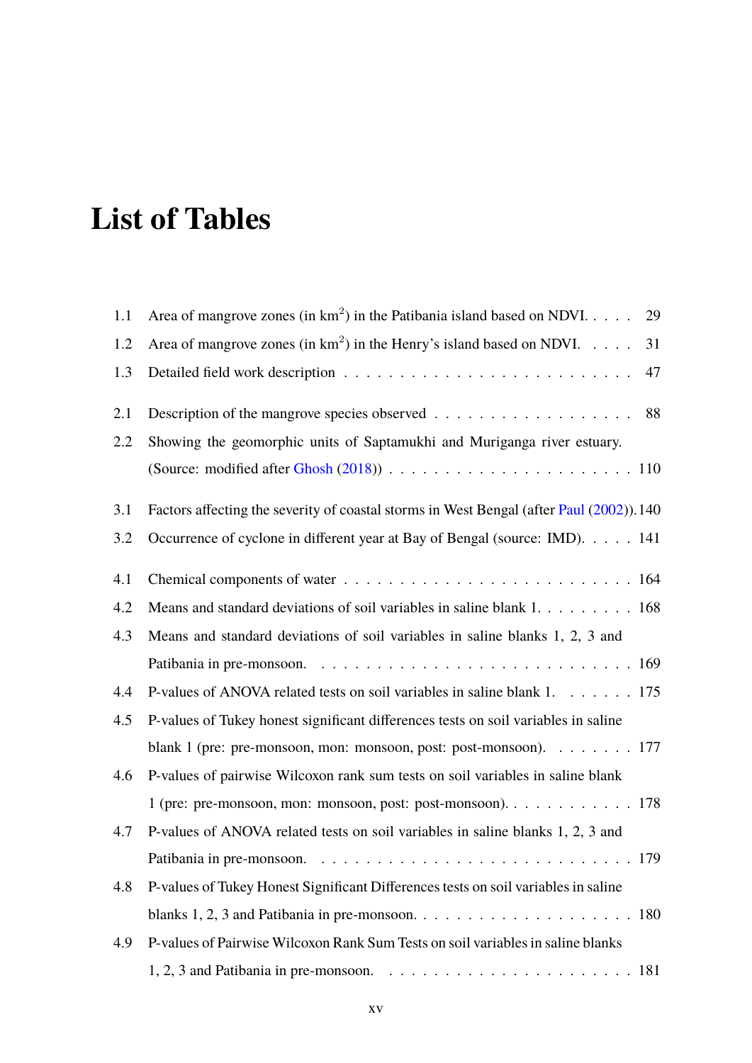## **List of Tables**

| 1.1 | Area of mangrove zones (in $km^2$ ) in the Patibania island based on NDVI.<br>29         |
|-----|------------------------------------------------------------------------------------------|
| 1.2 | Area of mangrove zones (in $km^2$ ) in the Henry's island based on NDVI.<br>31           |
| 1.3 | 47                                                                                       |
| 2.1 | Description of the mangrove species observed 88                                          |
| 2.2 | Showing the geomorphic units of Saptamukhi and Muriganga river estuary.                  |
|     |                                                                                          |
| 3.1 | Factors affecting the severity of coastal storms in West Bengal (after Paul (2002)). 140 |
| 3.2 | Occurrence of cyclone in different year at Bay of Bengal (source: IMD). 141              |
| 4.1 |                                                                                          |
| 4.2 | Means and standard deviations of soil variables in saline blank 1. 168                   |
| 4.3 | Means and standard deviations of soil variables in saline blanks 1, 2, 3 and             |
|     |                                                                                          |
| 4.4 | P-values of ANOVA related tests on soil variables in saline blank 1. 175                 |
| 4.5 | P-values of Tukey honest significant differences tests on soil variables in saline       |
|     | blank 1 (pre: pre-monsoon, mon: monsoon, post: post-monsoon). 177                        |
| 4.6 | P-values of pairwise Wilcoxon rank sum tests on soil variables in saline blank           |
|     | 1 (pre: pre-monsoon, mon: monsoon, post: post-monsoon). 178                              |
| 4.7 | P-values of ANOVA related tests on soil variables in saline blanks 1, 2, 3 and           |
|     |                                                                                          |
| 4.8 | P-values of Tukey Honest Significant Differences tests on soil variables in saline       |
|     |                                                                                          |
| 4.9 | P-values of Pairwise Wilcoxon Rank Sum Tests on soil variables in saline blanks          |
|     |                                                                                          |